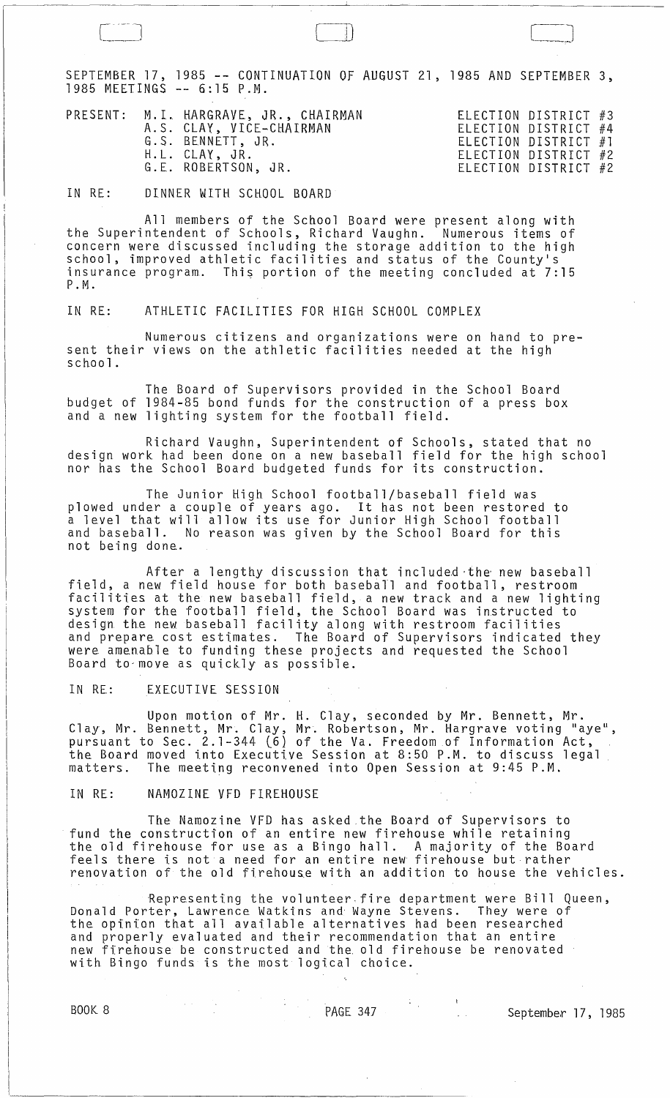SEPTEMBER 17, 1985 -- CONTINUATION OF AUGUST 21, 1985 AND SEPTEMBER 3, 1985 MEETINGS -- 6:15 P.M.

[-~ [=0 C]

IN RE: DINNER WITH SCHOOL BOARD

All members of the School Board were present along with the Superintendent of Schools, Richard Vaughn. Numerous items of concern were discussed including the storage addition to the high<br>school, improved athletic facilities and status of the County's insurance program. This portion of the meeting concluded at  $7:15$ P.M.

IN RE: ATHLETIC FACILITIES FOR HIGH SCHOOL COMPLEX

Numerous citizens and organizations were on hand to present their views on the athletic facilities needed at the high school.

The Board of Supervisors provided in the School Board budget of 1984-85 bond funds for the construction of a press box and a new lighting system for the football field.

Richard Vaughn, Superintendent of Schools, stated that no design work had been done on a new baseball field for the high school nor has the School Board budgeted funds for its construction.

The Junior High School football/baseball field was plowed under a couple of years ago. It has not been restored to a level that will allow its use for Junior High School football and baseball. No reason was given by the School Board for this not being done.

After a lengthy discussion that included the new baseball field, a new field house for both baseball and football, restroom facilities at the new baseball field, a new track and a new lighting system for the football field, the School Board was instructed to design the new baseball facility along with restroom facilities and prepare cost estimates. The Board of Supervisors indicated they were amenable to funding these projects and requested the School Board to-move as quickly as possible.

IN RE: EXECUTIVE SESSION

Upon motion of Mr. H. Clay, seconded by Mr. Bennett, Mr. Clay, Mr. Bennett, Mr. Clay, Mr. Robertson, Mr. Hargrave voting "aye",<br>pursuant to Sec. 2.1-344 (6) of the Va. Freedom of Information Act, the Board moved into Executive Session at 8:50 P.M. to discuss legal matters. The meeting reconvened into Open Session at 9:45 P.M.

IN RE: NAMOZINE VFD FIREHOUSE

The Namozine VFD has asked the Board of Supervisors to<br>fund the construction of an entire new firehouse while retaining fund the construction of an entire new firehouse while retaining the old firehouse for use as a Bingo hall. A majority of the Board feels there is not a need for an entire new firehouse but rather renovation of the old firehouse with an addition to house the vehicles.

Representing the volunteer fire department were Bill Queen,<br>Donald Porter, Lawrence Watkins and Wayne Stevens. They were of the opinion that all available alternatives had been researched and properly evaluated and their recommendation that an entire new firehouse be constructed and the. old firehouse be renovated with Bingo funds is the most logical choice.